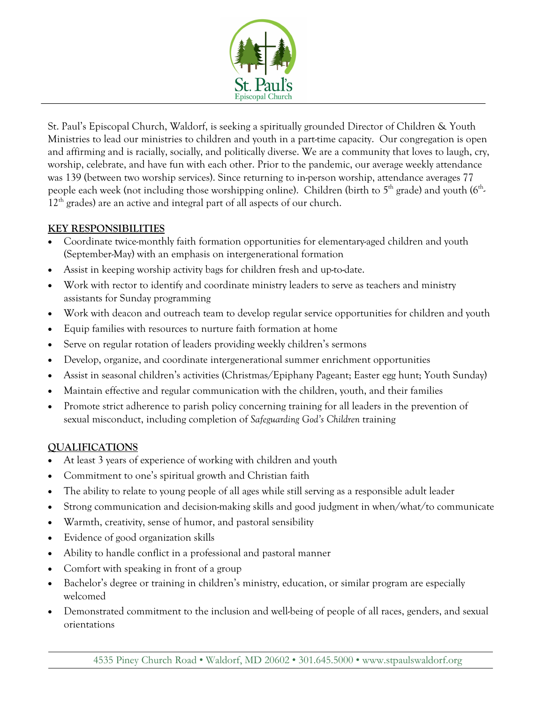

St. Paul's Episcopal Church, Waldorf, is seeking a spiritually grounded Director of Children & Youth Ministries to lead our ministries to children and youth in a part-time capacity. Our congregation is open and affirming and is racially, socially, and politically diverse. We are a community that loves to laugh, cry, worship, celebrate, and have fun with each other. Prior to the pandemic, our average weekly attendance was 139 (between two worship services). Since returning to in-person worship, attendance averages 77 people each week (not including those worshipping online). Children (birth to  $5<sup>th</sup>$  grade) and youth ( $6<sup>th</sup>$ - $12<sup>th</sup>$  grades) are an active and integral part of all aspects of our church.

## **KEY RESPONSIBILITIES**

- Coordinate twice-monthly faith formation opportunities for elementary-aged children and youth (September-May) with an emphasis on intergenerational formation
- Assist in keeping worship activity bags for children fresh and up-to-date.
- Work with rector to identify and coordinate ministry leaders to serve as teachers and ministry assistants for Sunday programming
- Work with deacon and outreach team to develop regular service opportunities for children and youth
- Equip families with resources to nurture faith formation at home
- Serve on regular rotation of leaders providing weekly children's sermons
- Develop, organize, and coordinate intergenerational summer enrichment opportunities
- Assist in seasonal children's activities (Christmas/Epiphany Pageant; Easter egg hunt; Youth Sunday)
- Maintain effective and regular communication with the children, youth, and their families
- Promote strict adherence to parish policy concerning training for all leaders in the prevention of sexual misconduct, including completion of *Safeguarding God's Children* training

## **QUALIFICATIONS**

- At least 3 years of experience of working with children and youth
- Commitment to one's spiritual growth and Christian faith
- The ability to relate to young people of all ages while still serving as a responsible adult leader
- Strong communication and decision-making skills and good judgment in when/what/to communicate
- Warmth, creativity, sense of humor, and pastoral sensibility
- Evidence of good organization skills
- Ability to handle conflict in a professional and pastoral manner
- Comfort with speaking in front of a group
- Bachelor's degree or training in children's ministry, education, or similar program are especially welcomed
- Demonstrated commitment to the inclusion and well-being of people of all races, genders, and sexual orientations